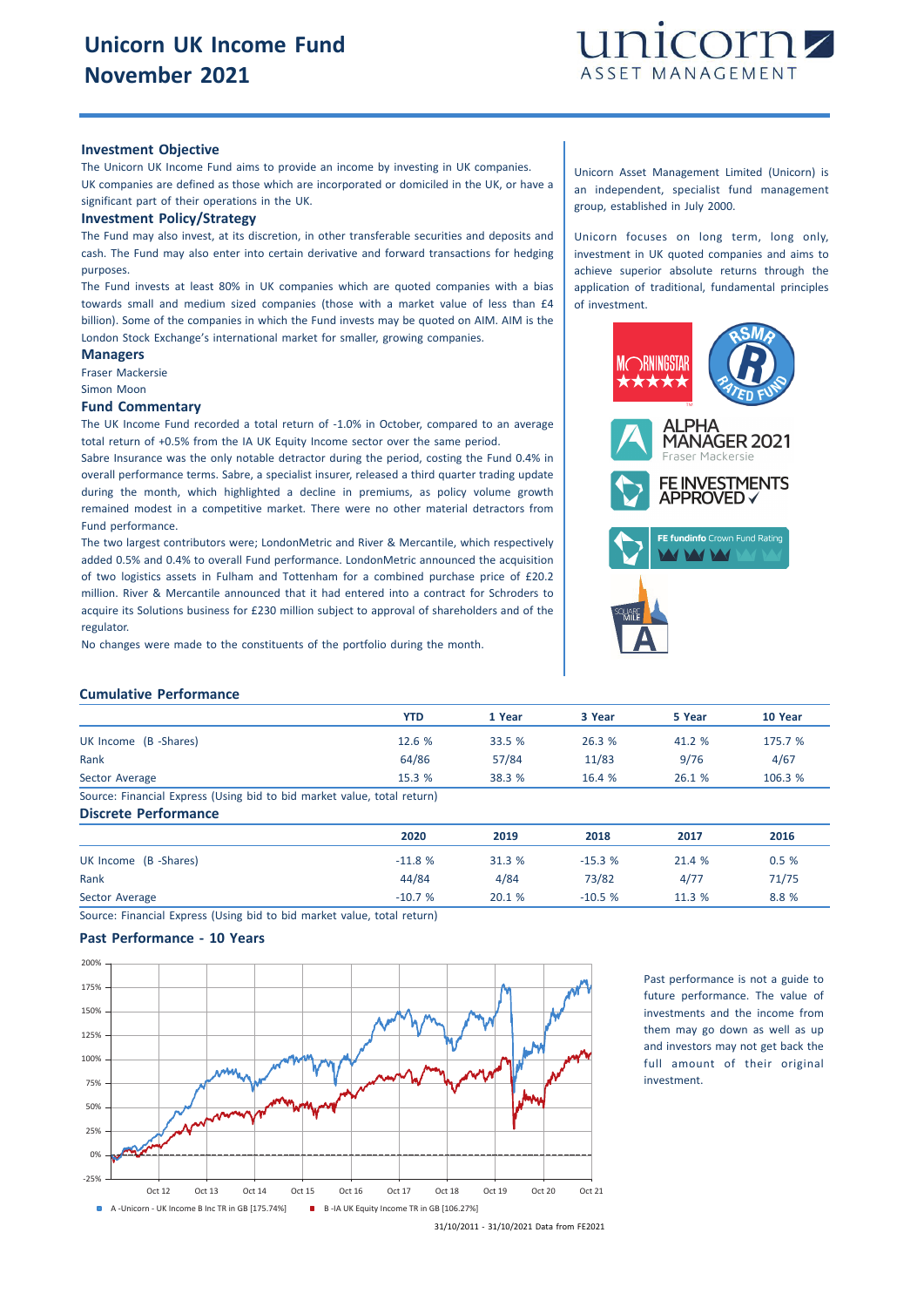

## **Investment Objective**

The Unicorn UK Income Fund aims to provide an income by investing in UK companies. UK companies are defined as those which are incorporated or domiciled in the UK, or have a significant part of their operations in the UK.

#### **Investment Policy/Strategy**

The Fund may also invest, at its discretion, in other transferable securities and deposits and cash. The Fund may also enter into certain derivative and forward transactions for hedging purposes.

The Fund invests at least 80% in UK companies which are quoted companies with a bias towards small and medium sized companies (those with a market value of less than £4 billion). Some of the companies in which the Fund invests may be quoted on AIM. AIM is the London Stock Exchange's international market for smaller, growing companies.

**Managers** Fraser Mackersie

Simon Moon

#### **Fund Commentary**

The UK Income Fund recorded a total return of -1.0% in October, compared to an average total return of +0.5% from the IA UK Equity Income sector over the same period.

Sabre Insurance was the only notable detractor during the period, costing the Fund 0.4% in overall performance terms. Sabre, a specialist insurer, released a third quarter trading update during the month, which highlighted a decline in premiums, as policy volume growth remained modest in a competitive market. There were no other material detractors from Fund performance.

The two largest contributors were; LondonMetric and River & Mercantile, which respectively added 0.5% and 0.4% to overall Fund performance. LondonMetric announced the acquisition of two logistics assets in Fulham and Tottenham for a combined purchase price of £20.2 million. River & Mercantile announced that it had entered into a contract for Schroders to acquire its Solutions business for £230 million subject to approval of shareholders and of the regulator.

No changes were made to the constituents of the portfolio during the month.

Unicorn Asset Management Limited (Unicorn) is an independent, specialist fund management group, established in July 2000.

Unicorn focuses on long term, long only, investment in UK quoted companies and aims to achieve superior absolute returns through the application of traditional, fundamental principles of investment.



## **Cumulative Performance**

|                                                                         | YTD    | 1 Year | 3 Year | 5 Year | 10 Year |
|-------------------------------------------------------------------------|--------|--------|--------|--------|---------|
| UK Income (B -Shares)                                                   | 12.6 % | 33.5 % | 26.3%  | 41.2 % | 175.7 % |
| Rank                                                                    | 64/86  | 57/84  | 11/83  | 9/76   | 4/67    |
| Sector Average                                                          | 15.3%  | 38.3 % | 16.4%  | 26.1%  | 106.3 % |
| Source: Financial Express (Using bid to bid market value, total return) |        |        |        |        |         |
| <b>Discrete Performance</b>                                             |        |        |        |        |         |

|                       | 2020     | 2019   | 2018     | 2017   | 2016  |
|-----------------------|----------|--------|----------|--------|-------|
| UK Income (B -Shares) | $-11.8%$ | 31.3 % | $-15.3%$ | 21.4 % | 0.5%  |
| Rank                  | 44/84    | 4/84   | 73/82    | 4/77   | 71/75 |
| Sector Average        | $-10.7%$ | 20.1 % | $-10.5%$ | 11.3 % | 8.8 % |

Source: Financial Express (Using bid to bid market value, total return)

# **Past Performance - 10 Years**



Past performance is not a guide to future performance. The value of investments and the income from them may go down as well as up and investors may not get back the full amount of their original investment.

<sup>31/10/2011</sup> - 31/10/2021 Data from FE2021